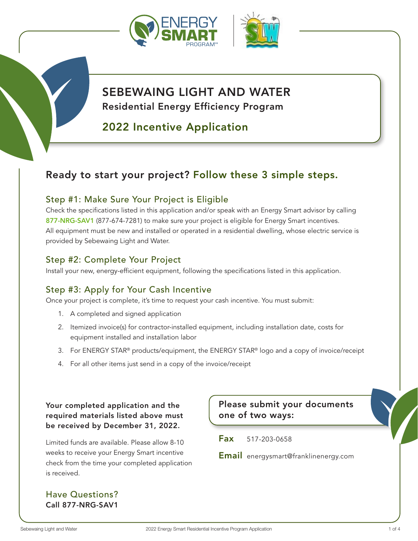

# SEBEWAING LIGHT AND WATER Residential Energy Efficiency Program

# 2022 Incentive Application

# Ready to start your project? Follow these 3 simple steps.

### Step #1: Make Sure Your Project is Eligible

Check the specifications listed in this application and/or speak with an Energy Smart advisor by calling 877-NRG-SAV1 (877-674-7281) to make sure your project is eligible for Energy Smart incentives. All equipment must be new and installed or operated in a residential dwelling, whose electric service is provided by Sebewaing Light and Water.

### Step #2: Complete Your Project

Install your new, energy-efficient equipment, following the specifications listed in this application.

## Step #3: Apply for Your Cash Incentive

Once your project is complete, it's time to request your cash incentive. You must submit:

- 1. A completed and signed application
- 2. Itemized invoice(s) for contractor-installed equipment, including installation date, costs for equipment installed and installation labor
- 3. For ENERGY STAR<sup>®</sup> products/equipment, the ENERGY STAR<sup>®</sup> logo and a copy of invoice/receipt
- 4. For all other items just send in a copy of the invoice/receipt

Your completed application and the required materials listed above must be received by December 31, 2022.

Limited funds are available. Please allow 8-10 weeks to receive your Energy Smart incentive check from the time your completed application is received.

Have Questions? Call 877-NRG-SAV1

Please submit your documents one of two ways:

Fax 517-203-0658

Email energysmart@franklinenergy.com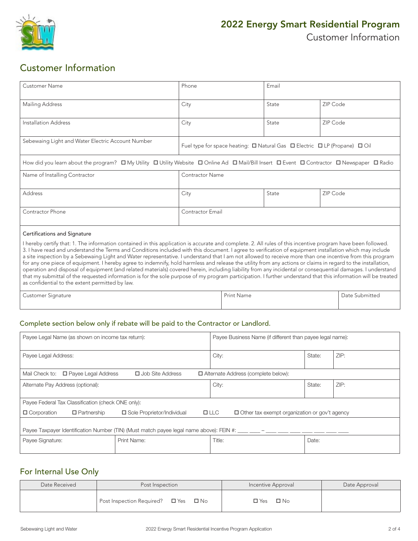

## Customer Information

| <b>Customer Name</b>                                                                                                                                                                                                                                                                                                    | Phone                                                                                          | Email |          |  |  |
|-------------------------------------------------------------------------------------------------------------------------------------------------------------------------------------------------------------------------------------------------------------------------------------------------------------------------|------------------------------------------------------------------------------------------------|-------|----------|--|--|
| Mailing Address                                                                                                                                                                                                                                                                                                         | City                                                                                           | State | ZIP Code |  |  |
| Installation Address                                                                                                                                                                                                                                                                                                    | City                                                                                           | State | ZIP Code |  |  |
| Sebewaing Light and Water Electric Account Number                                                                                                                                                                                                                                                                       | Fuel type for space heating: $\Box$ Natural Gas $\Box$ Electric $\Box$ LP (Propane) $\Box$ Oil |       |          |  |  |
| How did you learn about the program? $\Box$ My Utility $\Box$ Utility Website $\Box$ Online Ad $\Box$ Mail/Bill Insert $\Box$ Event $\Box$ Contractor $\Box$ Newspaper $\Box$ Radio                                                                                                                                     |                                                                                                |       |          |  |  |
| Name of Installing Contractor                                                                                                                                                                                                                                                                                           | <b>Contractor Name</b>                                                                         |       |          |  |  |
| Address                                                                                                                                                                                                                                                                                                                 | City                                                                                           | State | ZIP Code |  |  |
| Contractor Phone                                                                                                                                                                                                                                                                                                        | <b>Contractor Email</b>                                                                        |       |          |  |  |
| Certifications and Signature                                                                                                                                                                                                                                                                                            |                                                                                                |       |          |  |  |
| I hereby certify that: 1. The information contained in this application is accurate and complete. 2. All rules of this incentive program have been followed.<br>3. I have read and understand the Terms and Conditions included with this document. I agree to verification of equipment installation which may include |                                                                                                |       |          |  |  |

a site inspection by a Sebewaing Light and Water representative. I understand that I am not allowed to receive more than one incentive from this program for any one piece of equipment. I hereby agree to indemnify, hold harmless and release the utility from any actions or claims in regard to the installation, operation and disposal of equipment (and related materials) covered herein, including liability from any incidental or consequential damages. I understand that my submittal of the requested information is for the sole purpose of my program participation. I further understand that this information will be treated as confidential to the extent permitted by law.

Customer Signature **Print Name** Print Name **Print Name** Print Name **Date Submitted** 

#### Complete section below only if rebate will be paid to the Contractor or Landlord.

| Payee Legal Name (as shown on income tax return):                                                                                              |             | Payee Business Name (if different than payee legal name): |        |      |  |
|------------------------------------------------------------------------------------------------------------------------------------------------|-------------|-----------------------------------------------------------|--------|------|--|
| Payee Legal Address:                                                                                                                           |             | City:                                                     | State: | ZIP: |  |
| Mail Check to: □ Payee Legal Address<br>$\Box$ Job Site Address<br>$\Box$ Alternate Address (complete below):                                  |             |                                                           |        |      |  |
| Alternate Pay Address (optional):                                                                                                              |             | City:                                                     | State: | ZIP: |  |
| Payee Federal Tax Classification (check ONE only):                                                                                             |             |                                                           |        |      |  |
| $\Box$ Partnership<br>□ Sole Proprietor/Individual<br>$\Box$ LLC<br>$\Box$ Corporation<br>$\Box$ Other tax exempt organization or gov't agency |             |                                                           |        |      |  |
| Payee Taxpayer Identification Number (TIN) (Must match payee legal name above): FEIN #: $\frac{1}{2}$ $\frac{1}{2}$ $\frac{1}{2}$              |             |                                                           |        |      |  |
| Payee Signature:                                                                                                                               | Print Name: | Title:                                                    | Date:  |      |  |

#### For Internal Use Only

| Date Received | Post Inspection                                | Incentive Approval      | Date Approval |
|---------------|------------------------------------------------|-------------------------|---------------|
|               | Post Inspection Required? $\Box$ Yes $\Box$ No | $\Box$ No<br>$\Box$ Yes |               |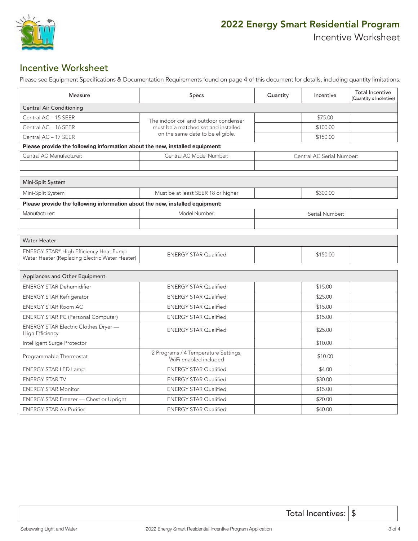

### Incentive Worksheet

Please see Equipment Specifications & Documentation Requirements found on page 4 of this document for details, including quantity limitations.

| Measure                                                                                  | Specs                                                         | Quantity                  | Incentive      | <b>Total Incentive</b><br>(Quantity x Incentive) |  |  |
|------------------------------------------------------------------------------------------|---------------------------------------------------------------|---------------------------|----------------|--------------------------------------------------|--|--|
| <b>Central Air Conditioning</b>                                                          |                                                               |                           |                |                                                  |  |  |
| Central AC - 15 SEER                                                                     | The indoor coil and outdoor condenser                         |                           | \$75.00        |                                                  |  |  |
| Central AC - 16 SEER                                                                     | must be a matched set and installed                           |                           | \$100.00       |                                                  |  |  |
| Central AC - 17 SEER                                                                     | on the same date to be eligible.                              |                           | \$150.00       |                                                  |  |  |
| Please provide the following information about the new, installed equipment:             |                                                               |                           |                |                                                  |  |  |
| Central AC Manufacturer:                                                                 | Central AC Model Number:                                      | Central AC Serial Number: |                |                                                  |  |  |
|                                                                                          |                                                               |                           |                |                                                  |  |  |
| Mini-Split System                                                                        |                                                               |                           |                |                                                  |  |  |
| Mini-Split System                                                                        | Must be at least SEER 18 or higher                            |                           | \$300.00       |                                                  |  |  |
| Please provide the following information about the new, installed equipment:             |                                                               |                           |                |                                                  |  |  |
| Manufacturer:                                                                            | Model Number:                                                 |                           | Serial Number: |                                                  |  |  |
|                                                                                          |                                                               |                           |                |                                                  |  |  |
| <b>Water Heater</b>                                                                      |                                                               |                           |                |                                                  |  |  |
| ENERGY STAR® High Efficiency Heat Pump<br>Water Heater (Replacing Electric Water Heater) | <b>ENERGY STAR Qualified</b>                                  |                           | \$150.00       |                                                  |  |  |
| Appliances and Other Equipment                                                           |                                                               |                           |                |                                                  |  |  |
| <b>ENERGY STAR Dehumidifier</b>                                                          | <b>ENERGY STAR Qualified</b>                                  |                           | \$15.00        |                                                  |  |  |
| <b>ENERGY STAR Refrigerator</b>                                                          | <b>ENERGY STAR Qualified</b>                                  |                           | \$25.00        |                                                  |  |  |
| <b>ENERGY STAR Room AC</b>                                                               | <b>ENERGY STAR Qualified</b>                                  |                           | \$15.00        |                                                  |  |  |
| <b>ENERGY STAR PC (Personal Computer)</b>                                                | <b>ENERGY STAR Qualified</b>                                  |                           | \$15.00        |                                                  |  |  |
| ENERGY STAR Electric Clothes Dryer -<br>High Efficiency                                  | <b>ENERGY STAR Qualified</b>                                  |                           | \$25.00        |                                                  |  |  |
| Intelligent Surge Protector                                                              |                                                               |                           | \$10.00        |                                                  |  |  |
| Programmable Thermostat                                                                  | 2 Programs / 4 Temperature Settings;<br>WiFi enabled included |                           | \$10.00        |                                                  |  |  |
| <b>ENERGY STAR LED Lamp</b>                                                              | <b>ENERGY STAR Qualified</b>                                  |                           | \$4.00         |                                                  |  |  |
| <b>ENERGY STAR TV</b>                                                                    | <b>ENERGY STAR Qualified</b>                                  |                           | \$30.00        |                                                  |  |  |
| <b>ENERGY STAR Monitor</b>                                                               | <b>ENERGY STAR Qualified</b>                                  |                           | \$15.00        |                                                  |  |  |
| ENERGY STAR Freezer - Chest or Upright                                                   | <b>ENERGY STAR Qualified</b>                                  |                           | \$20.00        |                                                  |  |  |
| <b>ENERGY STAR Air Purifier</b>                                                          | <b>ENERGY STAR Qualified</b>                                  |                           | \$40.00        |                                                  |  |  |